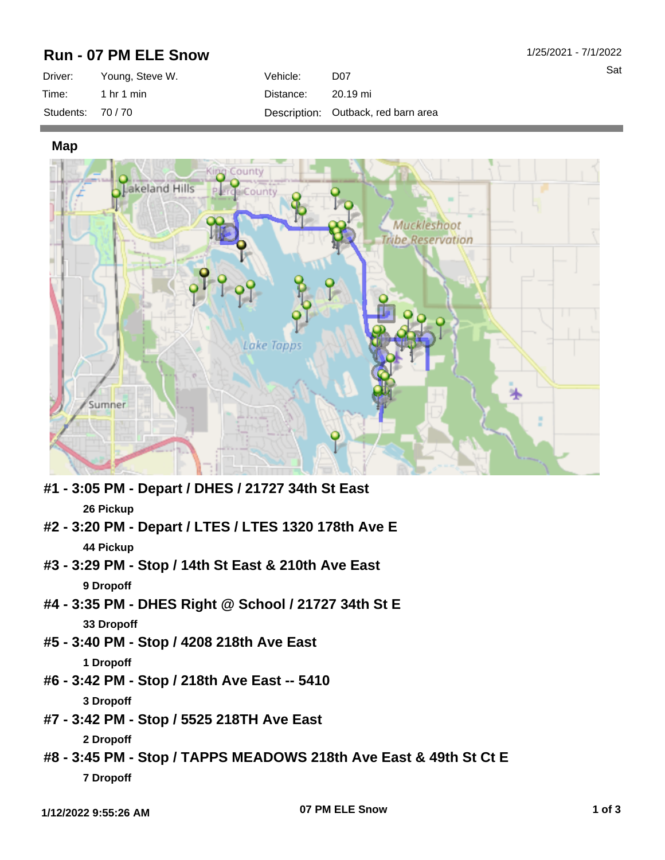## **Run - 07 PM ELE Snow**

| Driver:         | Young, Steve W. | Vehicle: \ | D <sub>07</sub>                     |
|-----------------|-----------------|------------|-------------------------------------|
| Time:           | 1 hr 1 min      | Distance:  | 20.19 mi                            |
| Students: 70/70 |                 |            | Description: Outback, red barn area |

**Map**



- **#1 3:05 PM Depart / DHES / 21727 34th St East 26 Pickup**
- **#2 3:20 PM Depart / LTES / LTES 1320 178th Ave E 44 Pickup**
- **#3 3:29 PM Stop / 14th St East & 210th Ave East 9 Dropoff**
- **#4 3:35 PM DHES Right @ School / 21727 34th St E 33 Dropoff**
- **#5 3:40 PM Stop / 4208 218th Ave East 1 Dropoff**
- **#6 3:42 PM Stop / 218th Ave East -- 5410 3 Dropoff**
- **#7 3:42 PM Stop / 5525 218TH Ave East**

**2 Dropoff**

**#8 - 3:45 PM - Stop / TAPPS MEADOWS 218th Ave East & 49th St Ct E 7 Dropoff**